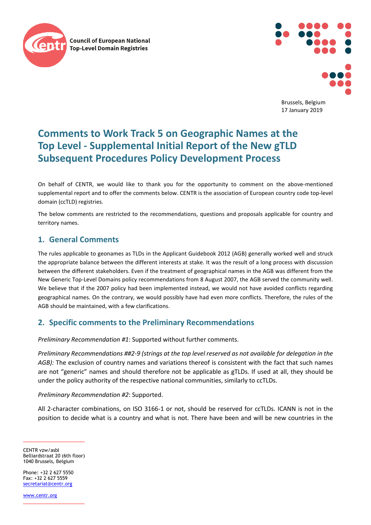



Brussels, Belgium 17 January 2019

# **Comments to Work Track 5 on Geographic Names at the Top Level - Supplemental Initial Report of the New gTLD Subsequent Procedures Policy Development Process**

On behalf of CENTR, we would like to thank you for the opportunity to comment on the above-mentioned supplemental report and to offer the comments below. CENTR is the association of European country code top-level domain (ccTLD) registries.

The below comments are restricted to the recommendations, questions and proposals applicable for country and territory names.

## **1. General Comments**

The rules applicable to geonames as TLDs in the Applicant Guidebook 2012 (AGB) generally worked well and struck the appropriate balance between the different interests at stake. It was the result of a long process with discussion between the different stakeholders. Even if the treatment of geographical names in the AGB was different from the New Generic Top-Level Domains policy recommendations from 8 August 2007, the AGB served the community well. We believe that if the 2007 policy had been implemented instead, we would not have avoided conflicts regarding geographical names. On the contrary, we would possibly have had even more conflicts. Therefore, the rules of the AGB should be maintained, with a few clarifications.

## **2. Specific comments to the Preliminary Recommendations**

*Preliminary Recommendation #1*: Supported without further comments.

*Preliminary Recommendations ##2-9 (strings at the top level reserved as not available for delegation in the AGB):* The exclusion of country names and variations thereof is consistent with the fact that such names are not "generic" names and should therefore not be applicable as gTLDs. If used at all, they should be under the policy authority of the respective national communities, similarly to ccTLDs.

### *Preliminary Recommendation #2*: Supported.

All 2-character combinations, on ISO 3166-1 or not, should be reserved for ccTLDs. ICANN is not in the position to decide what is a country and what is not. There have been and will be new countries in the

CENTR vzw/asbl Belliardstraat 20 (6th floor) 1040 Brussels, Belgium

Phone: +32 2 627 5550  $Fax: +32 2 627 5559$ [secretariat@centr.org](mailto:secretariat@centr.org)

[www.centr.org](http://www.centr.org/)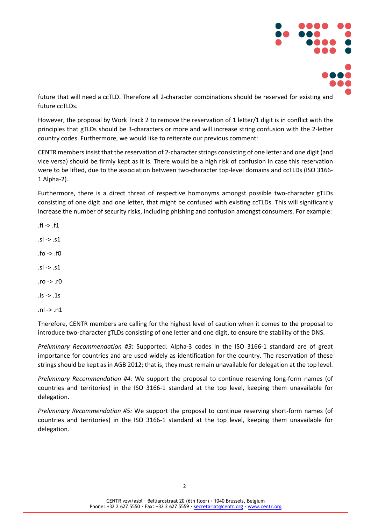

future that will need a ccTLD. Therefore all 2-character combinations should be reserved for existing and future ccTLDs.

However, the proposal by Work Track 2 to remove the reservation of 1 letter/1 digit is in conflict with the principles that gTLDs should be 3-characters or more and will increase string confusion with the 2-letter country codes. Furthermore, we would like to reiterate our previous comment:

CENTR members insist that the reservation of 2-character strings consisting of one letter and one digit (and vice versa) should be firmly kept as it is. There would be a high risk of confusion in case this reservation were to be lifted, due to the association between two-character top-level domains and ccTLDs (ISO 3166- 1 Alpha-2).

Furthermore, there is a direct threat of respective homonyms amongst possible two-character gTLDs consisting of one digit and one letter, that might be confused with existing ccTLDs. This will significantly increase the number of security risks, including phishing and confusion amongst consumers. For example:

 $\text{fi}$  ->  $\text{f1}$ 

- $.$ si ->  $.$ s1
- .fo -> .f0
- .sl -> .s1
- .ro -> .r0
- $.is -> .1s$

.nl -> .n1

Therefore, CENTR members are calling for the highest level of caution when it comes to the proposal to introduce two-character gTLDs consisting of one letter and one digit, to ensure the stability of the DNS.

*Preliminary Recommendation #3*: Supported. Alpha-3 codes in the ISO 3166-1 standard are of great importance for countries and are used widely as identification for the country. The reservation of these strings should be kept as in AGB 2012; that is, they must remain unavailable for delegation at the top level.

*Preliminary Recommendation #4:* We support the proposal to continue reserving long-form names (of countries and territories) in the ISO 3166-1 standard at the top level, keeping them unavailable for delegation.

*Preliminary Recommendation #5:* We support the proposal to continue reserving short-form names (of countries and territories) in the ISO 3166-1 standard at the top level, keeping them unavailable for delegation.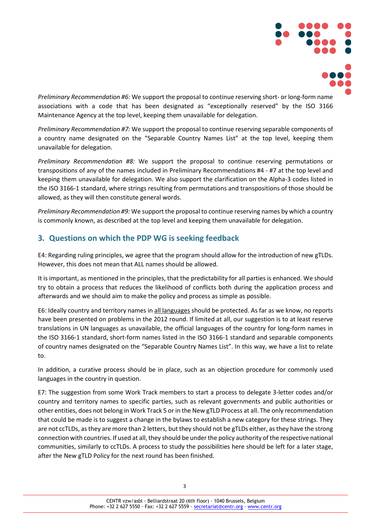

*Preliminary Recommendation #6:* We support the proposal to continue reserving short- or long-form name associations with a code that has been designated as "exceptionally reserved" by the ISO 3166 Maintenance Agency at the top level, keeping them unavailable for delegation.

*Preliminary Recommendation #7:* We support the proposal to continue reserving separable components of a country name designated on the "Separable Country Names List" at the top level, keeping them unavailable for delegation.

*Preliminary Recommendation #8:* We support the proposal to continue reserving permutations or transpositions of any of the names included in Preliminary Recommendations #4 - #7 at the top level and keeping them unavailable for delegation. We also support the clarification on the Alpha-3 codes listed in the ISO 3166-1 standard, where strings resulting from permutations and transpositions of those should be allowed, as they will then constitute general words.

*Preliminary Recommendation #9:* We support the proposal to continue reserving names by which a country is commonly known, as described at the top level and keeping them unavailable for delegation.

## **3. Questions on which the PDP WG is seeking feedback**

E4: Regarding ruling principles, we agree that the program should allow for the introduction of new gTLDs. However, this does not mean that ALL names should be allowed.

It is important, as mentioned in the principles, that the predictability for all parties is enhanced. We should try to obtain a process that reduces the likelihood of conflicts both during the application process and afterwards and we should aim to make the policy and process as simple as possible.

E6: Ideally country and territory names in all languages should be protected. As far as we know, no reports have been presented on problems in the 2012 round. If limited at all, our suggestion is to at least reserve translations in UN languages as unavailable, the official languages of the country for long-form names in the ISO 3166-1 standard, short-form names listed in the ISO 3166-1 standard and separable components of country names designated on the "Separable Country Names List". In this way, we have a list to relate to.

In addition, a curative process should be in place, such as an objection procedure for commonly used languages in the country in question.

E7: The suggestion from some Work Track members to start a process to delegate 3-letter codes and/or country and territory names to specific parties, such as relevant governments and public authorities or other entities, does not belong in Work Track 5 or in the New gTLD Process at all. The only recommendation that could be made is to suggest a change in the bylaws to establish a new category for these strings. They are not ccTLDs, as they are more than 2 letters, but they should not be gTLDs either, as they have the strong connection with countries. If used at all, they should be under the policy authority of the respective national communities, similarly to ccTLDs. A process to study the possibilities here should be left for a later stage, after the New gTLD Policy for the next round has been finished.